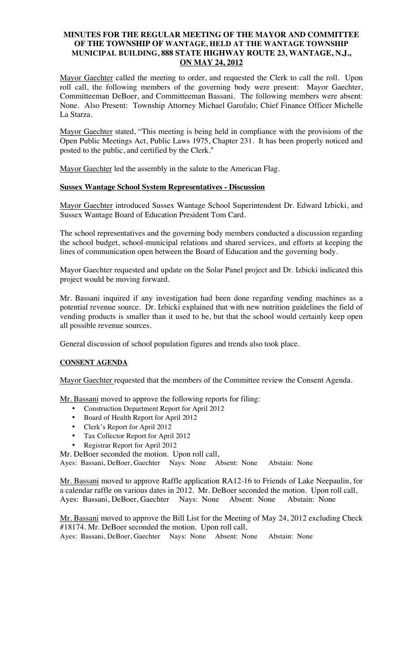## **MINUTES FOR THE REGULAR MEETING OF THE MAYOR AND COMMITTEE OF THE TOWNSHIP OF WANTAGE, HELD AT THE WANTAGE TOWNSHIP MUNICIPAL BUILDING, 888 STATE HIGHWAY ROUTE 23, WANTAGE, N.J., ON MAY 24, 2012**

Mayor Gaechter called the meeting to order, and requested the Clerk to call the roll. Upon roll call, the following members of the governing body were present: Mayor Gaechter, Committeeman DeBoer, and Committeeman Bassani. The following members were absent: None. Also Present: Township Attorney Michael Garofalo; Chief Finance Officer Michelle La Starza.

Mayor Gaechter stated, "This meeting is being held in compliance with the provisions of the Open Public Meetings Act, Public Laws 1975, Chapter 231. It has been properly noticed and posted to the public, and certified by the Clerk."

Mayor Gaechter led the assembly in the salute to the American Flag.

### **Sussex Wantage School System Representatives - Discussion**

Mayor Gaechter introduced Sussex Wantage School Superintendent Dr. Edward Izbicki, and Sussex Wantage Board of Education President Tom Card.

The school representatives and the governing body members conducted a discussion regarding the school budget, school-municipal relations and shared services, and efforts at keeping the lines of communication open between the Board of Education and the governing body.

Mayor Gaechter requested and update on the Solar Panel project and Dr. Izbicki indicated this project would be moving forward.

Mr. Bassani inquired if any investigation had been done regarding vending machines as a potential revenue source. Dr. Izbicki explained that with new nutrition guidelines the field of vending products is smaller than it used to be, but that the school would certainly keep open all possible revenue sources.

General discussion of school population figures and trends also took place.

#### **CONSENT AGENDA**

Mayor Gaechter requested that the members of the Committee review the Consent Agenda.

Mr. Bassani moved to approve the following reports for filing:

- Construction Department Report for April 2012
- Board of Health Report for April 2012
- Clerk's Report for April 2012
- Tax Collector Report for April 2012
- Registrar Report for April 2012

Mr. DeBoer seconded the motion. Upon roll call,

Ayes: Bassani, DeBoer, Gaechter Nays: None Absent: None Abstain: None

Mr. Bassani moved to approve Raffle application RA12-16 to Friends of Lake Neepaulin, for a calendar raffle on various dates in 2012. Mr. DeBoer seconded the motion. Upon roll call, Ayes: Bassani, DeBoer, Gaechter Nays: None Absent: None Abstain: None

Mr. Bassani moved to approve the Bill List for the Meeting of May 24, 2012 excluding Check #18174. Mr. DeBoer seconded the motion. Upon roll call, Ayes: Bassani, DeBoer, Gaechter Nays: None Absent: None Abstain: None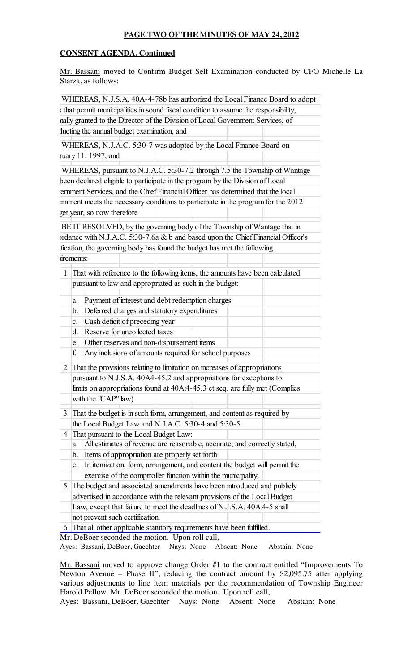# **PAGE TWO OF THE MINUTES OF MAY 24, 2012**

# **CONSENT AGENDA, Continued**

Mr. Bassani moved to Confirm Budget Self Examination conducted by CFO Michelle La Starza, as follows:

|              |                                                                              | s that permit municipalities in sound fiscal condition to assume the responsibility,                                     |  |  |  |  |  |
|--------------|------------------------------------------------------------------------------|--------------------------------------------------------------------------------------------------------------------------|--|--|--|--|--|
|              |                                                                              | nally granted to the Director of the Division of Local Government Services, of                                           |  |  |  |  |  |
|              |                                                                              | lucting the annual budget examination, and                                                                               |  |  |  |  |  |
|              |                                                                              | WHEREAS, N.J.A.C. 5:30-7 was adopted by the Local Finance Board on                                                       |  |  |  |  |  |
|              |                                                                              | ruary 11, 1997, and                                                                                                      |  |  |  |  |  |
|              |                                                                              | WHEREAS, pursuant to N.J.A.C. 5:30-7.2 through 7.5 the Township of Wantage                                               |  |  |  |  |  |
|              |                                                                              | been declared eligible to participate in the program by the Division of Local                                            |  |  |  |  |  |
|              |                                                                              | ernment Services, and the Chief Financial Officer has determined that the local                                          |  |  |  |  |  |
|              |                                                                              | ernment meets the necessary conditions to participate in the program for the 2012                                        |  |  |  |  |  |
|              |                                                                              | get year, so now therefore                                                                                               |  |  |  |  |  |
|              |                                                                              | BE IT RESOLVED, by the governing body of the Township of Wantage that in                                                 |  |  |  |  |  |
|              |                                                                              | ordance with N.J.A.C. 5:30-7.6a & b and based upon the Chief Financial Officer's                                         |  |  |  |  |  |
|              |                                                                              | fication, the governing body has found the budget has met the following                                                  |  |  |  |  |  |
|              | irements:                                                                    |                                                                                                                          |  |  |  |  |  |
|              |                                                                              |                                                                                                                          |  |  |  |  |  |
| $\mathbf{1}$ | That with reference to the following items, the amounts have been calculated |                                                                                                                          |  |  |  |  |  |
|              | pursuant to law and appropriated as such in the budget:                      |                                                                                                                          |  |  |  |  |  |
|              | a.                                                                           | Payment of interest and debt redemption charges                                                                          |  |  |  |  |  |
|              | b.                                                                           | Deferred charges and statutory expenditures                                                                              |  |  |  |  |  |
|              | $\mathbf{c}$ .                                                               | Cash deficit of preceding year                                                                                           |  |  |  |  |  |
|              | d.                                                                           | Reserve for uncollected taxes                                                                                            |  |  |  |  |  |
|              | e.                                                                           | Other reserves and non-disbursement items                                                                                |  |  |  |  |  |
|              | f.                                                                           | Any inclusions of amounts required for school purposes                                                                   |  |  |  |  |  |
| 2            | That the provisions relating to limitation on increases of appropriations    |                                                                                                                          |  |  |  |  |  |
|              | pursuant to N.J.S.A. 40A4-45.2 and appropriations for exceptions to          |                                                                                                                          |  |  |  |  |  |
|              | limits on appropriations found at 40A:4-45.3 et seq. are fully met (Complies |                                                                                                                          |  |  |  |  |  |
|              | with the "CAP" law)                                                          |                                                                                                                          |  |  |  |  |  |
| 3            |                                                                              | That the budget is in such form, arrangement, and content as required by                                                 |  |  |  |  |  |
|              | the Local Budget Law and N.J.A.C. 5:30-4 and 5:30-5.                         |                                                                                                                          |  |  |  |  |  |
| 4            | That pursuant to the Local Budget Law:                                       |                                                                                                                          |  |  |  |  |  |
|              | a.                                                                           | All estimates of revenue are reasonable, accurate, and correctly stated,                                                 |  |  |  |  |  |
|              | b.                                                                           | Items of appropriation are properly set forth                                                                            |  |  |  |  |  |
|              | c.                                                                           | In itemization, form, arrangement, and content the budget will permit the                                                |  |  |  |  |  |
|              | exercise of the comptroller function within the municipality.                |                                                                                                                          |  |  |  |  |  |
| 5            | The budget and associated amendments have been introduced and publicly       |                                                                                                                          |  |  |  |  |  |
|              | advertised in accordance with the relevant provisions of the Local Budget    |                                                                                                                          |  |  |  |  |  |
|              | Law, except that failure to meet the deadlines of N.J.S.A. 40A:4-5 shall     |                                                                                                                          |  |  |  |  |  |
|              | not prevent such certification.                                              |                                                                                                                          |  |  |  |  |  |
| 6            |                                                                              | That all other applicable statutory requirements have been fulfilled.<br>Mr. DeBoer seconded the motion. Upon roll call, |  |  |  |  |  |

Ayes: Bassani, DeBoer, Gaechter Nays: None Absent: None Abstain: None

Mr. Bassani moved to approve change Order #1 to the contract entitled "Improvements To Newton Avenue – Phase II", reducing the contract amount by \$2,095.75 after applying various adjustments to line item materials per the recommendation of Township Engineer Harold Pellow. Mr. DeBoer seconded the motion. Upon roll call,

Ayes: Bassani, DeBoer, Gaechter Nays: None Absent: None Abstain: None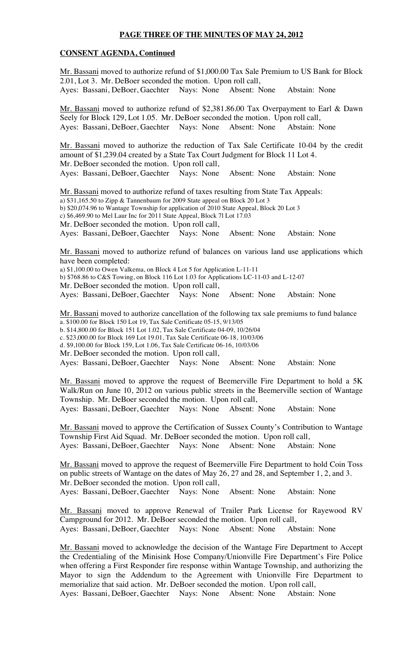## **PAGE THREE OF THE MINUTES OF MAY 24, 2012**

### **CONSENT AGENDA, Continued**

Mr. Bassani moved to authorize refund of \$1,000.00 Tax Sale Premium to US Bank for Block 2.01, Lot 3. Mr. DeBoer seconded the motion. Upon roll call, Ayes: Bassani, DeBoer, Gaechter Nays: None Absent: None Abstain: None

Mr. Bassani moved to authorize refund of \$2,381.86.00 Tax Overpayment to Earl & Dawn Seely for Block 129, Lot 1.05. Mr. DeBoer seconded the motion. Upon roll call, Ayes: Bassani, DeBoer, Gaechter Nays: None Absent: None Abstain: None

Mr. Bassani moved to authorize the reduction of Tax Sale Certificate 10-04 by the credit amount of \$1,239.04 created by a State Tax Court Judgment for Block 11 Lot 4. Mr. DeBoer seconded the motion. Upon roll call, Ayes: Bassani, DeBoer, Gaechter Nays: None Absent: None Abstain: None

Mr. Bassani moved to authorize refund of taxes resulting from State Tax Appeals: a) \$31,165.50 to Zipp & Tannenbaum for 2009 State appeal on Block 20 Lot 3 b) \$20,074.96 to Wantage Township for application of 2010 State Appeal, Block 20 Lot 3 c) \$6,469.90 to Mel Laur Inc for 2011 State Appeal, Block 7l Lot 17.03 Mr. DeBoer seconded the motion. Upon roll call,

Ayes: Bassani, DeBoer, Gaechter Nays: None Absent: None Abstain: None

Mr. Bassani moved to authorize refund of balances on various land use applications which have been completed:

a) \$1,100.00 to Owen Valkema, on Block 4 Lot 5 for Application L-11-11

b) \$768.86 to C&S Towing, on Block 116 Lot 1.03 for Applications LC-11-03 and L-12-07

Mr. DeBoer seconded the motion. Upon roll call,

Ayes: Bassani, DeBoer, Gaechter Nays: None Absent: None Abstain: None

Mr. Bassani moved to authorize cancellation of the following tax sale premiums to fund balance a. \$100.00 for Block 150 Lot 19, Tax Sale Certificate 05-15, 9/13/05

b. \$14,800.00 for Block 151 Lot 1.02, Tax Sale Certificate 04-09, 10/26/04

c. \$23,000.00 for Block 169 Lot 19.01, Tax Sale Certificate 06-18, 10/03/06

d. \$9,100.00 for Block 159, Lot 1.06, Tax Sale Certificate 06-16, 10/03/06

Mr. DeBoer seconded the motion. Upon roll call,

Ayes: Bassani, DeBoer, Gaechter Nays: None Absent: None Abstain: None

Mr. Bassani moved to approve the request of Beemerville Fire Department to hold a 5K Walk/Run on June 10, 2012 on various public streets in the Beemerville section of Wantage Township. Mr. DeBoer seconded the motion. Upon roll call,

Ayes: Bassani, DeBoer, Gaechter Nays: None Absent: None Abstain: None

Mr. Bassani moved to approve the Certification of Sussex County's Contribution to Wantage Township First Aid Squad. Mr. DeBoer seconded the motion. Upon roll call, Ayes: Bassani, DeBoer, Gaechter Nays: None Absent: None Abstain: None

Mr. Bassani moved to approve the request of Beemerville Fire Department to hold Coin Toss on public streets of Wantage on the dates of May 26, 27 and 28, and September 1, 2, and 3. Mr. DeBoer seconded the motion. Upon roll call, Ayes: Bassani, DeBoer, Gaechter Nays: None Absent: None Abstain: None

Mr. Bassani moved to approve Renewal of Trailer Park License for Rayewood RV Campground for 2012. Mr. DeBoer seconded the motion. Upon roll call, Ayes: Bassani, DeBoer, Gaechter Nays: None Absent: None Abstain: None

Mr. Bassani moved to acknowledge the decision of the Wantage Fire Department to Accept the Credentialing of the Minisink Hose Company/Unionville Fire Department's Fire Police when offering a First Responder fire response within Wantage Township, and authorizing the Mayor to sign the Addendum to the Agreement with Unionville Fire Department to memorialize that said action. Mr. DeBoer seconded the motion. Upon roll call, Ayes: Bassani, DeBoer, Gaechter Nays: None Absent: None Abstain: None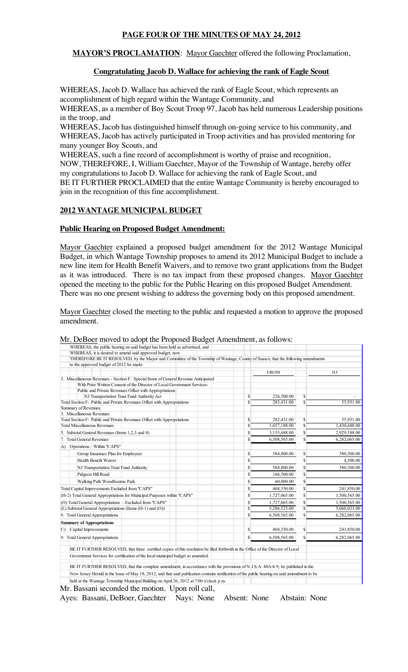# **PAGE FOUR OF THE MINUTES OF MAY 24, 2012**

**MAYOR'S PROCLAMATION:** Mayor Gaechter offered the following Proclamation,

# **Congratulating Jacob D. Wallace for achieving the rank of Eagle Scout**

WHEREAS, Jacob D. Wallace has achieved the rank of Eagle Scout, which represents an accomplishment of high regard within the Wantage Community, and WHEREAS, as a member of Boy Scout Troop 97, Jacob has held numerous Leadership positions in the troop, and

WHEREAS, Jacob has distinguished himself through on-going service to his community, and WHEREAS, Jacob has actively participated in Troop activities and has provided mentoring for many younger Boy Scouts, and

WHEREAS, such a fine record of accomplishment is worthy of praise and recognition, NOW, THEREFORE, I, William Gaechter, Mayor of the Township of Wantage, hereby offer my congratulations to Jacob D. Wallace for achieving the rank of Eagle Scout, and BE IT FURTHER PROCLAIMED that the entire Wantage Community is hereby encouraged to join in the recognition of this fine accomplishment.

# **2012 WANTAGE MUNICIPAL BUDGET**

## **Public Hearing on Proposed Budget Amendment:**

Mayor Gaechter explained a proposed budget amendment for the 2012 Wantage Municipal Budget, in which Wantage Township proposes to amend its 2012 Municipal Budget to include a new line item for Health Benefit Waivers, and to remove two grant applications from the Budget as it was introduced. There is no tax impact from these proposed changes. Mayor Gaechter opened the meeting to the public for the Public Hearing on this proposed Budget Amendment. There was no one present wishing to address the governing body on this proposed amendment.

Mayor Gaechter closed the meeting to the public and requested a motion to approve the proposed amendment.

| WHEREAS, the public hearing on said budget has been held as advertised, and                                                                   |                         |              |    |              |
|-----------------------------------------------------------------------------------------------------------------------------------------------|-------------------------|--------------|----|--------------|
| WHEREAS, it is desired to amend said approved budget, now                                                                                     |                         |              |    |              |
| THEREFORE BE IT RESOLVED, by the Mayor and Committee of the Township of Wantage, County of Sussex, that the following amendments              |                         |              |    |              |
| to the approved budget of 2012 be made:                                                                                                       |                         |              |    |              |
|                                                                                                                                               |                         | <b>FROM</b>  |    | TO           |
| 3. Miscellaneous Revenues - Section F: Special Items of General Revenue Anticipated                                                           |                         |              |    |              |
| With Prior Written Consent of the Director of Local Government Services-                                                                      |                         |              |    |              |
| Public and Private Revenues Offset with Appropriations                                                                                        |                         |              |    |              |
| NJ Transportation Trust Fund Authority Act                                                                                                    | \$                      | 226,500.00   | \$ |              |
| Total Section F: Public and Private Revenues Offset with Appropriations                                                                       | $\overline{\mathbb{S}}$ | 283,431.00   | Ŝ. | 55,931.00    |
| Summary of Revenues                                                                                                                           |                         |              |    |              |
| 3. Miscellaneous Revenues<br>Total Section F: Public and Private Revenues Offset with Appropriations                                          | \$                      | 282,431.00   | \$ | 55,931.00    |
| <b>Total Miscellaneous Revenues</b>                                                                                                           | S                       | 1,657,188.00 | S  | 1,430,688.00 |
|                                                                                                                                               | S                       |              | \$ |              |
| 5. Subtotal General Revenues (Items 1,2,3 and 4)                                                                                              |                         | 3,155,688.00 |    | 2,929,188.00 |
| 7. Total General Revenues                                                                                                                     | Ŝ                       | 6,508,565.00 | \$ | 6,282,065.00 |
| Operations - Within "CAPS"<br>A)                                                                                                              |                         |              |    |              |
| Group Insurance Plan for Employees                                                                                                            | \$                      | 584,800.00   | \$ | 580,300.00   |
| <b>Health Benefit Waiver</b>                                                                                                                  | \$                      |              | \$ | 4,500.00     |
| NJ Transportation Trust Fund Authority                                                                                                        | \$                      | 584,800.00   | \$ | 580,300.00   |
| Pidgeon Hill Road                                                                                                                             | S                       | 166,500.00   | \$ |              |
| Walking Path Woodbourne Park                                                                                                                  | S                       | 60,000.00    | \$ |              |
| Total Capital Improvements Excluded from "CAPS"                                                                                               | \$                      | 468,350.00   | \$ | 241,850.00   |
| (H-2) Total General Appropriations for Municipal Purposes within "CAPS"                                                                       | Ŝ                       | 1,727,065.00 | \$ | 1,500,565.00 |
| (O) Total General Appropriations - Excluded from "CAPS"                                                                                       | S                       | 1,727,065.00 | \$ | 1,500,565.00 |
| (L) Subtotal General Appropriations (Items (H-1) and (O))                                                                                     | Ŝ                       | 5,286,523.00 | \$ | 5,060,023.00 |
| 9. Total General Appropriations                                                                                                               | Ś.                      | 6,508,565.00 | Ŝ  | 6,282,065.00 |
| <b>Summary of Appropriations</b>                                                                                                              |                         |              |    |              |
| Capital Improvements<br>C)                                                                                                                    | \$                      | 468,350.00   | \$ | 241,850.00   |
| 9. Total General Appropriations                                                                                                               | \$.                     | 6,508,565.00 | S  | 6,282,065.00 |
|                                                                                                                                               |                         |              |    |              |
| BE IT FURTHER RESOLVED, that three certified copies of this resolution be filed forthwith in the Office of the Director of Local              |                         |              |    |              |
| Government Services for certification of the local municipal budget so amended.                                                               |                         |              |    |              |
| BE IT FURTHER RESOLVED, that this complete amendment, in accordance with the provisions of N.J.S.A. 40A:4-9, be published in the              |                         |              |    |              |
| New Jersey Herald in the Issue of May 18, 2012, and that said publication contains notification of the public hearing on said amendment to be |                         |              |    |              |
| held at the Wantage Township Municipal Building on April 26, 2012 at 7:00 o'clock p.m.                                                        |                         |              |    |              |
| Mr. Bassani seconded the motion. Upon roll call                                                                                               |                         |              |    |              |

### Mr. DeBoer moved to adopt the Proposed Budget Amendment, as follows:

Mr. Bassani seconded the motion. Upon roll call, Ayes: Bassani, DeBoer, Gaechter Nays: None Absent: None Abstain: None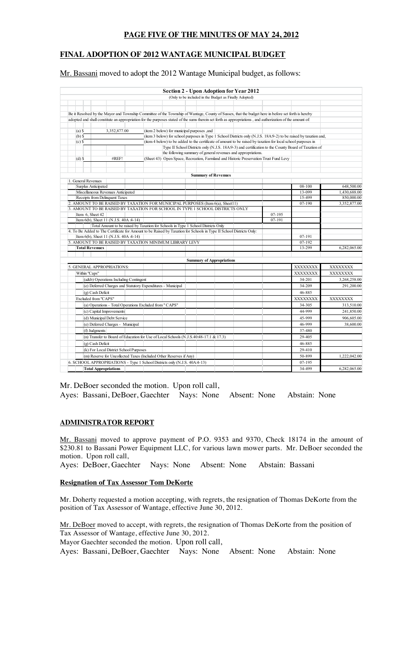## **PAGE FIVE OF THE MINUTES OF MAY 24, 2012**

# **FINAL ADOPTION OF 2012 WANTAGE MUNICIPAL BUDGET**

Mr. Bassani moved to adopt the 2012 Wantage Municipal budget, as follows:

|                            |                                        |                                                                                                                     |                                                                                       | <b>Section 2 - Upon Adoption for Year 2012</b>                                                                |                                                                                                                                                            |                      |                            |
|----------------------------|----------------------------------------|---------------------------------------------------------------------------------------------------------------------|---------------------------------------------------------------------------------------|---------------------------------------------------------------------------------------------------------------|------------------------------------------------------------------------------------------------------------------------------------------------------------|----------------------|----------------------------|
|                            |                                        |                                                                                                                     |                                                                                       | (Only to be included in the Budget as Finally Adopted)                                                        |                                                                                                                                                            |                      |                            |
|                            |                                        |                                                                                                                     |                                                                                       |                                                                                                               |                                                                                                                                                            |                      |                            |
|                            |                                        |                                                                                                                     |                                                                                       |                                                                                                               |                                                                                                                                                            |                      |                            |
|                            |                                        |                                                                                                                     |                                                                                       |                                                                                                               | Be it Resolved by the Mayor and Township Committee of the Township of Wantage, County of Sussex, that the budget here in before set forth is hereby        |                      |                            |
|                            |                                        |                                                                                                                     |                                                                                       |                                                                                                               | adopted and shall constitute an appropriation for the purposes stated of the sums therein set forth as appropriations, and authorization of the amount of: |                      |                            |
| $(a)$ \$                   | 3,352,877.00                           |                                                                                                                     | (item 2 below) for municipal purposes , and                                           |                                                                                                               |                                                                                                                                                            |                      |                            |
| $(b)$ \$                   |                                        |                                                                                                                     |                                                                                       |                                                                                                               | (item 3 below) for school purposes in Type 1 School Districts only (N.J.S. 18A9-2) to be raised by taxation and,                                           |                      |                            |
| $(c)$ \$                   |                                        |                                                                                                                     |                                                                                       | (item 4 below) to be added to the certificate of amount to be raised by taxation for local school purposes in |                                                                                                                                                            |                      |                            |
|                            |                                        |                                                                                                                     |                                                                                       |                                                                                                               | Type II School Districts only (N.J.S. 18A.9-3) and certification to the County Board of Taxation of                                                        |                      |                            |
|                            |                                        |                                                                                                                     | the following summary of general revenues and appropriations.                         |                                                                                                               |                                                                                                                                                            |                      |                            |
| $(d)$ \$                   | #REF!                                  |                                                                                                                     | (Sheet 43) Open Space, Recreation, Farmland and Historic Preservation Trust Fund Levy |                                                                                                               |                                                                                                                                                            |                      |                            |
|                            |                                        |                                                                                                                     |                                                                                       |                                                                                                               |                                                                                                                                                            |                      |                            |
|                            |                                        |                                                                                                                     |                                                                                       |                                                                                                               |                                                                                                                                                            |                      |                            |
|                            |                                        |                                                                                                                     |                                                                                       | <b>Summary of Revenues</b>                                                                                    |                                                                                                                                                            |                      |                            |
| 1. General Revenues        |                                        |                                                                                                                     |                                                                                       |                                                                                                               |                                                                                                                                                            |                      |                            |
| Surplus Anticipated        | Miscellaneous Revenues Anticipated     |                                                                                                                     |                                                                                       |                                                                                                               |                                                                                                                                                            | 08-100<br>$13 - 099$ | 648,500.00<br>1,430,688.00 |
|                            | Receipts from Delinquent Taxes         |                                                                                                                     |                                                                                       |                                                                                                               |                                                                                                                                                            | 15-499               | 850,000.00                 |
|                            |                                        | 2. AMOUNT TO BE RAISED BY TAXATION FOR MUNICIPAL PURPOSES (Item 6(a), Sheet11)                                      |                                                                                       |                                                                                                               |                                                                                                                                                            | $07 - 190$           | 3,352,877.00               |
|                            |                                        | 3. AMOUNT TO BE RAISED BY TAXATION FOR SCHOOL IN TYPE 1 SCHOOL DISTRICTS ONLY                                       |                                                                                       |                                                                                                               |                                                                                                                                                            |                      |                            |
| Item 6, Sheet 42           |                                        |                                                                                                                     |                                                                                       |                                                                                                               | $07 - 195$                                                                                                                                                 |                      |                            |
|                            | Item 6(b), Sheet 11 (N.J.S. 40A :4-14) |                                                                                                                     |                                                                                       |                                                                                                               | $07 - 191$                                                                                                                                                 |                      |                            |
|                            |                                        | Total Amount to be raised by Taxation for Schools in Type 1 School Districts Only                                   |                                                                                       |                                                                                                               |                                                                                                                                                            |                      |                            |
|                            |                                        | 4. To Be Added to The Certificate for Amount to be Raised by Taxation for Schools in Type II School Districts Only: |                                                                                       |                                                                                                               |                                                                                                                                                            |                      |                            |
|                            | Item 6(b), Sheet 11 (N.J.S. 40A :4-14) |                                                                                                                     |                                                                                       |                                                                                                               |                                                                                                                                                            | 07-191               |                            |
|                            |                                        | 5. AMOUNT TO BE RAISED BY TAXATION MINIMUM LIBRARY LEVY                                                             |                                                                                       |                                                                                                               |                                                                                                                                                            | 07-192               |                            |
| <b>Total Revenues</b>      |                                        |                                                                                                                     |                                                                                       |                                                                                                               |                                                                                                                                                            | 13-299               | 6.282.065.00               |
|                            |                                        |                                                                                                                     |                                                                                       |                                                                                                               |                                                                                                                                                            |                      |                            |
|                            |                                        |                                                                                                                     |                                                                                       | <b>Summary of Appropriations</b>                                                                              |                                                                                                                                                            |                      |                            |
| 5. GENERAL APPROPRIATIONS: |                                        |                                                                                                                     |                                                                                       |                                                                                                               |                                                                                                                                                            | XXXXXXXX             | XXXXXXXX                   |
| Within "Caps"              |                                        |                                                                                                                     |                                                                                       |                                                                                                               |                                                                                                                                                            | XXXXXXXX             | <b>XXXXXXXX</b>            |
|                            | (a&b) Operations Including Contingent  |                                                                                                                     |                                                                                       |                                                                                                               |                                                                                                                                                            | 34-201               | 3,268,258.00               |
|                            |                                        | (e) Deferred Charges and Statutory Expenditures - Municipal                                                         |                                                                                       |                                                                                                               |                                                                                                                                                            | 34-209               | 291,200.00                 |
| (g) Cash Deficit           |                                        |                                                                                                                     |                                                                                       |                                                                                                               |                                                                                                                                                            | 46-885               |                            |
| Excluded from "CAPS"       |                                        |                                                                                                                     |                                                                                       |                                                                                                               |                                                                                                                                                            | XXXXXXXX             | XXXXXXXX                   |
|                            |                                        | (a) Operations - Total Operations Excluded from "CAPS"                                                              |                                                                                       |                                                                                                               |                                                                                                                                                            | 34-305               | 313,510.00                 |
|                            | (c) Capital Improvements               |                                                                                                                     |                                                                                       |                                                                                                               |                                                                                                                                                            | 44-999               | 241,850.00                 |
|                            | (d) Municipal Debt Service             |                                                                                                                     |                                                                                       |                                                                                                               |                                                                                                                                                            | 45-999               | 906,605.00                 |
|                            | (e) Deferred Charges - Municipal       |                                                                                                                     |                                                                                       |                                                                                                               |                                                                                                                                                            | 46-999               | 38,600.00                  |
|                            |                                        |                                                                                                                     |                                                                                       |                                                                                                               |                                                                                                                                                            |                      |                            |
| (f) Judgments              |                                        |                                                                                                                     |                                                                                       |                                                                                                               |                                                                                                                                                            | 37-480               |                            |
|                            |                                        | (n) Transfer to Board of Education for Use of Local Schools (N.J.S.40.48-17.1 & 17.3)                               |                                                                                       |                                                                                                               |                                                                                                                                                            | 29-405               |                            |
| (g) Cash Deficit           |                                        |                                                                                                                     |                                                                                       |                                                                                                               |                                                                                                                                                            | 46-885               |                            |
|                            | (k) For Local District School Purposes |                                                                                                                     |                                                                                       |                                                                                                               |                                                                                                                                                            | 29-410               |                            |
|                            |                                        | (m) Reserve for Uncollected Taxes (Included Other Reserves if Any)                                                  |                                                                                       |                                                                                                               |                                                                                                                                                            | 50-899               | 1,222,042.00               |
|                            |                                        | 6. SCHOOL APPROPRIATIONS - Type 1 School Districts only (N.J.S. 40A:4-13)                                           |                                                                                       |                                                                                                               |                                                                                                                                                            | 07-195               |                            |
|                            | <b>Total Appropriations</b>            |                                                                                                                     |                                                                                       |                                                                                                               |                                                                                                                                                            | 34-499               | 6,282,065.00               |

Mr. DeBoer seconded the motion. Upon roll call,

Ayes: Bassani, DeBoer, Gaechter Nays: None Absent: None Abstain: None

#### **ADMINISTRATOR REPORT**

Mr. Bassani moved to approve payment of P.O. 9353 and 9370, Check 18174 in the amount of \$230.81 to Bassani Power Equipment LLC, for various lawn mower parts. Mr. DeBoer seconded the motion. Upon roll call,

Ayes: DeBoer, Gaechter Nays: None Absent: None Abstain: Bassani

#### **Resignation of Tax Assessor Tom DeKorte**

Mr. Doherty requested a motion accepting, with regrets, the resignation of Thomas DeKorte from the position of Tax Assessor of Wantage, effective June 30, 2012.

Mr. DeBoer moved to accept, with regrets, the resignation of Thomas DeKorte from the position of Tax Assessor of Wantage, effective June 30, 2012.

Mayor Gaechter seconded the motion. Upon roll call,

Ayes: Bassani, DeBoer, Gaechter Nays: None Absent: None Abstain: None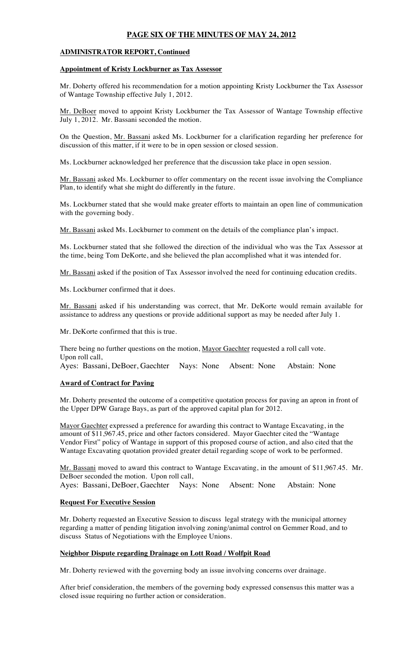## **PAGE SIX OF THE MINUTES OF MAY 24, 2012**

#### **ADMINISTRATOR REPORT, Continued**

#### **Appointment of Kristy Lockburner as Tax Assessor**

Mr. Doherty offered his recommendation for a motion appointing Kristy Lockburner the Tax Assessor of Wantage Township effective July 1, 2012.

Mr. DeBoer moved to appoint Kristy Lockburner the Tax Assessor of Wantage Township effective July 1, 2012. Mr. Bassani seconded the motion.

On the Question, Mr. Bassani asked Ms. Lockburner for a clarification regarding her preference for discussion of this matter, if it were to be in open session or closed session.

Ms. Lockburner acknowledged her preference that the discussion take place in open session.

Mr. Bassani asked Ms. Lockburner to offer commentary on the recent issue involving the Compliance Plan, to identify what she might do differently in the future.

Ms. Lockburner stated that she would make greater efforts to maintain an open line of communication with the governing body.

Mr. Bassani asked Ms. Lockburner to comment on the details of the compliance plan's impact.

Ms. Lockburner stated that she followed the direction of the individual who was the Tax Assessor at the time, being Tom DeKorte, and she believed the plan accomplished what it was intended for.

Mr. Bassani asked if the position of Tax Assessor involved the need for continuing education credits.

Ms. Lockburner confirmed that it does.

Mr. Bassani asked if his understanding was correct, that Mr. DeKorte would remain available for assistance to address any questions or provide additional support as may be needed after July 1.

Mr. DeKorte confirmed that this is true.

There being no further questions on the motion, Mayor Gaechter requested a roll call vote. Upon roll call, Ayes: Bassani, DeBoer, Gaechter Nays: None Absent: None Abstain: None

### **Award of Contract for Paving**

Mr. Doherty presented the outcome of a competitive quotation process for paving an apron in front of the Upper DPW Garage Bays, as part of the approved capital plan for 2012.

Mayor Gaechter expressed a preference for awarding this contract to Wantage Excavating, in the amount of \$11,967.45, price and other factors considered. Mayor Gaechter cited the "Wantage Vendor First" policy of Wantage in support of this proposed course of action, and also cited that the Wantage Excavating quotation provided greater detail regarding scope of work to be performed.

Mr. Bassani moved to award this contract to Wantage Excavating, in the amount of \$11,967.45. Mr. DeBoer seconded the motion. Upon roll call,

Ayes: Bassani, DeBoer, Gaechter Nays: None Absent: None Abstain: None

#### **Request For Executive Session**

Mr. Doherty requested an Executive Session to discuss legal strategy with the municipal attorney regarding a matter of pending litigation involving zoning/animal control on Gemmer Road, and to discuss Status of Negotiations with the Employee Unions.

#### **Neighbor Dispute regarding Drainage on Lott Road / Wolfpit Road**

Mr. Doherty reviewed with the governing body an issue involving concerns over drainage.

After brief consideration, the members of the governing body expressed consensus this matter was a closed issue requiring no further action or consideration.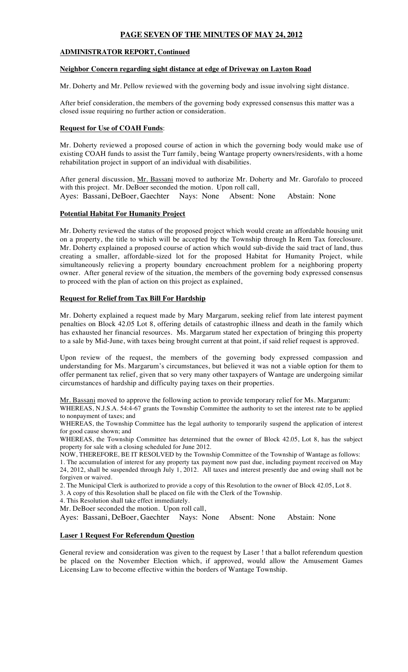## **PAGE SEVEN OF THE MINUTES OF MAY 24, 2012**

#### **ADMINISTRATOR REPORT, Continued**

#### **Neighbor Concern regarding sight distance at edge of Driveway on Layton Road**

Mr. Doherty and Mr. Pellow reviewed with the governing body and issue involving sight distance.

After brief consideration, the members of the governing body expressed consensus this matter was a closed issue requiring no further action or consideration.

### **Request for Use of COAH Funds**:

Mr. Doherty reviewed a proposed course of action in which the governing body would make use of existing COAH funds to assist the Turr family, being Wantage property owners/residents, with a home rehabilitation project in support of an individual with disabilities.

After general discussion, Mr. Bassani moved to authorize Mr. Doherty and Mr. Garofalo to proceed with this project. Mr. DeBoer seconded the motion. Upon roll call, Ayes: Bassani, DeBoer, Gaechter Nays: None Absent: None Abstain: None

#### **Potential Habitat For Humanity Project**

Mr. Doherty reviewed the status of the proposed project which would create an affordable housing unit on a property, the title to which will be accepted by the Township through In Rem Tax foreclosure. Mr. Doherty explained a proposed course of action which would sub-divide the said tract of land, thus creating a smaller, affordable-sized lot for the proposed Habitat for Humanity Project, while simultaneously relieving a property boundary encroachment problem for a neighboring property owner. After general review of the situation, the members of the governing body expressed consensus to proceed with the plan of action on this project as explained,

#### **Request for Relief from Tax Bill For Hardship**

Mr. Doherty explained a request made by Mary Margarum, seeking relief from late interest payment penalties on Block 42.05 Lot 8, offering details of catastrophic illness and death in the family which has exhausted her financial resources. Ms. Margarum stated her expectation of bringing this property to a sale by Mid-June, with taxes being brought current at that point, if said relief request is approved.

Upon review of the request, the members of the governing body expressed compassion and understanding for Ms. Margarum's circumstances, but believed it was not a viable option for them to offer permanent tax relief, given that so very many other taxpayers of Wantage are undergoing similar circumstances of hardship and difficulty paying taxes on their properties.

Mr. Bassani moved to approve the following action to provide temporary relief for Ms. Margarum: WHEREAS, N.J.S.A. 54:4-67 grants the Township Committee the authority to set the interest rate to be applied to nonpayment of taxes; and

WHEREAS, the Township Committee has the legal authority to temporarily suspend the application of interest for good cause shown; and

WHEREAS, the Township Committee has determined that the owner of Block 42.05, Lot 8, has the subject property for sale with a closing scheduled for June 2012.

NOW, THEREFORE, BE IT RESOLVED by the Township Committee of the Township of Wantage as follows: 1. The accumulation of interest for any property tax payment now past due, including payment received on May 24, 2012, shall be suspended through July 1, 2012. All taxes and interest presently due and owing shall not be forgiven or waived.

2. The Municipal Clerk is authorized to provide a copy of this Resolution to the owner of Block 42.05, Lot 8.

3. A copy of this Resolution shall be placed on file with the Clerk of the Township.

4. This Resolution shall take effect immediately.

Mr. DeBoer seconded the motion. Upon roll call,

Ayes: Bassani, DeBoer, Gaechter Nays: None Absent: None Abstain: None

#### **Laser 1 Request For Referendum Question**

General review and consideration was given to the request by Laser ! that a ballot referendum question be placed on the November Election which, if approved, would allow the Amusement Games Licensing Law to become effective within the borders of Wantage Township.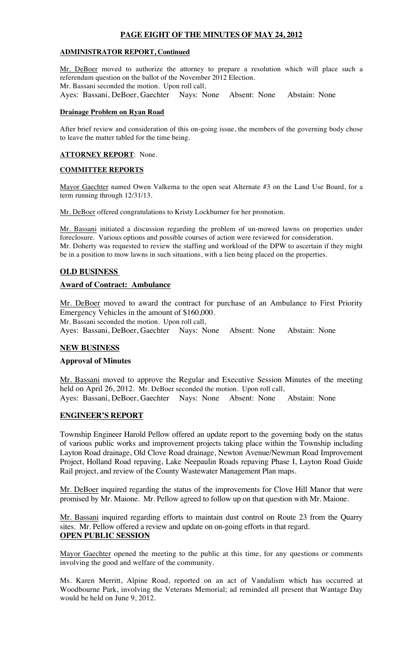## **PAGE EIGHT OF THE MINUTES OF MAY 24, 2012**

### **ADMINISTRATOR REPORT, Continued**

Mr. DeBoer moved to authorize the attorney to prepare a resolution which will place such a referendum question on the ballot of the November 2012 Election. Mr. Bassani seconded the motion. Upon roll call,<br>Ayes: Bassani, DeBoer, Gaechter Nays: None Absent: None Ayes: Bassani, DeBoer, Gaechter Nays: None Absent: None Abstain: None

#### **Drainage Problem on Ryan Road**

After brief review and consideration of this on-going issue, the members of the governing body chose to leave the matter tabled for the time being.

#### **ATTORNEY REPORT**: None.

#### **COMMITTEE REPORTS**

Mayor Gaechter named Owen Valkema to the open seat Alternate #3 on the Land Use Board, for a term running through 12/31/13.

Mr. DeBoer offered congratulations to Kristy Lockburner for her promotion.

Mr. Bassani initiated a discussion regarding the problem of un-mowed lawns on properties under foreclosure. Various options and possible courses of action were reviewed for consideration. Mr. Doherty was requested to review the staffing and workload of the DPW to ascertain if they might be in a position to mow lawns in such situations, with a lien being placed on the properties.

#### **OLD BUSINESS**

#### **Award of Contract: Ambulance**

Mr. DeBoer moved to award the contract for purchase of an Ambulance to First Priority Emergency Vehicles in the amount of \$160,000.

Mr. Bassani seconded the motion. Upon roll call,

Ayes: Bassani, DeBoer, Gaechter Nays: None Absent: None Abstain: None

#### **NEW BUSINESS**

### **Approval of Minutes**

Mr. Bassani moved to approve the Regular and Executive Session Minutes of the meeting held on April 26, 2012. Mr. DeBoer seconded the motion. Upon roll call, Ayes: Bassani, DeBoer, Gaechter Nays: None Absent: None Abstain: None

#### **ENGINEER'S REPORT**

Township Engineer Harold Pellow offered an update report to the governing body on the status of various public works and improvement projects taking place within the Township including Layton Road drainage, Old Clove Road drainage, Newton Avenue/Newman Road Improvement Project, Holland Road repaving, Lake Neepaulin Roads repaving Phase I, Layton Road Guide Rail project, and review of the County Wastewater Management Plan maps.

Mr. DeBoer inquired regarding the status of the improvements for Clove Hill Manor that were promised by Mr. Maione. Mr. Pellow agreed to follow up on that question with Mr. Maione.

Mr. Bassani inquired regarding efforts to maintain dust control on Route 23 from the Quarry sites. Mr. Pellow offered a review and update on on-going efforts in that regard. **OPEN PUBLIC SESSION**

Mayor Gaechter opened the meeting to the public at this time, for any questions or comments involving the good and welfare of the community.

Ms. Karen Merritt, Alpine Road, reported on an act of Vandalism which has occurred at Woodbourne Park, involving the Veterans Memorial; ad reminded all present that Wantage Day would be held on June 9, 2012.